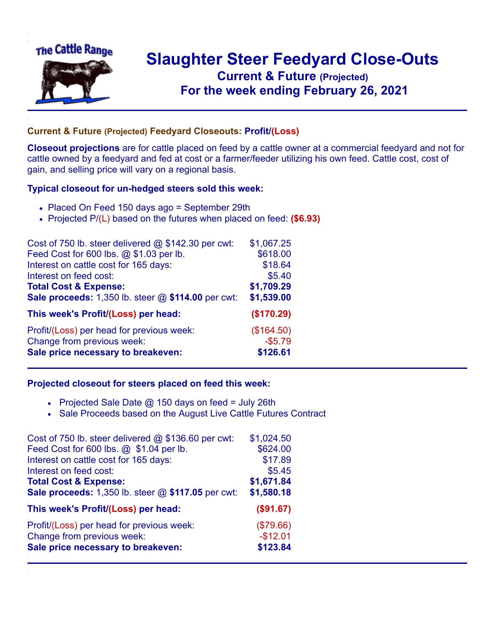

## **Slaughter Steer Feedyard Close-Outs Current & Future (Projected)** .**For the week ending February 26, 2021**

## **Current & Future (Projected) Feedyard Closeouts: Profit/(Loss)**

**Closeout projections** are for cattle placed on feed by a cattle owner at a commercial feedyard and not for cattle owned by a feedyard and fed at cost or a farmer/feeder utilizing his own feed. Cattle cost, cost of gain, and selling price will vary on a regional basis.

## **Typical closeout for un-hedged steers sold this week:**

- Placed On Feed 150 days ago = September 29th
- Projected P/(L) based on the futures when placed on feed: **(\$6.93)**

| Cost of 750 lb. steer delivered $@$ \$142.30 per cwt: | \$1,067.25 |
|-------------------------------------------------------|------------|
| Feed Cost for 600 lbs. @ \$1.03 per lb.               | \$618.00   |
| Interest on cattle cost for 165 days:                 | \$18.64    |
| Interest on feed cost:                                | \$5.40     |
| <b>Total Cost &amp; Expense:</b>                      | \$1,709.29 |
| Sale proceeds: 1,350 lb. steer @ \$114.00 per cwt:    | \$1,539.00 |
| This week's Profit/(Loss) per head:                   | (\$170.29) |
| Profit/(Loss) per head for previous week:             | (\$164.50) |
| Change from previous week:                            | $-$5.79$   |
| Sale price necessary to breakeven:                    | \$126.61   |

## **Projected closeout for steers placed on feed this week:**

- Projected Sale Date  $@$  150 days on feed = July 26th
- Sale Proceeds based on the August Live Cattle Futures Contract

| Cost of 750 lb. steer delivered @ \$136.60 per cwt: | \$1,024.50 |
|-----------------------------------------------------|------------|
| Feed Cost for 600 lbs. @ \$1.04 per lb.             | \$624.00   |
| Interest on cattle cost for 165 days:               | \$17.89    |
| Interest on feed cost:                              | \$5.45     |
| <b>Total Cost &amp; Expense:</b>                    | \$1,671.84 |
| Sale proceeds: 1,350 lb. steer @ \$117.05 per cwt:  | \$1,580.18 |
| This week's Profit/(Loss) per head:                 | (\$91.67)  |
| Profit/(Loss) per head for previous week:           | (\$79.66)  |
| Change from previous week:                          | $-$12.01$  |
| Sale price necessary to breakeven:                  | \$123.84   |